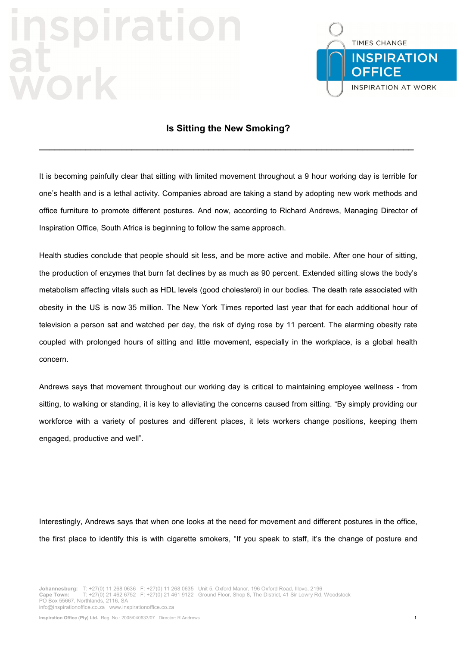## **Trati**



## **Is Sitting the New Smoking?**

**\_\_\_\_\_\_\_\_\_\_\_\_\_\_\_\_\_\_\_\_\_\_\_\_\_\_\_\_\_\_\_\_\_\_\_\_\_\_\_\_\_\_\_\_\_\_\_\_\_\_\_\_\_\_\_\_\_\_\_\_\_\_\_\_\_\_\_\_\_\_\_\_\_** 

It is becoming painfully clear that sitting with limited movement throughout a 9 hour working day is terrible for one's health and is a lethal activity. Companies abroad are taking a stand by adopting new work methods and office furniture to promote different postures. And now, according to Richard Andrews, Managing Director of Inspiration Office, South Africa is beginning to follow the same approach.

Health studies conclude that people should sit less, and be more active and mobile. After one hour of sitting, the production of enzymes that burn fat declines by as much as 90 percent. Extended sitting slows the body's metabolism affecting vitals such as HDL levels (good cholesterol) in our bodies. The death rate associated with obesity in the US is now 35 million. The New York Times reported last year that for each additional hour of television a person sat and watched per day, the risk of dying rose by 11 percent. The alarming obesity rate coupled with prolonged hours of sitting and little movement, especially in the workplace, is a global health concern.

Andrews says that movement throughout our working day is critical to maintaining employee wellness - from sitting, to walking or standing, it is key to alleviating the concerns caused from sitting. "By simply providing our workforce with a variety of postures and different places, it lets workers change positions, keeping them engaged, productive and well".

Interestingly, Andrews says that when one looks at the need for movement and different postures in the office, the first place to identify this is with cigarette smokers, "If you speak to staff, it's the change of posture and